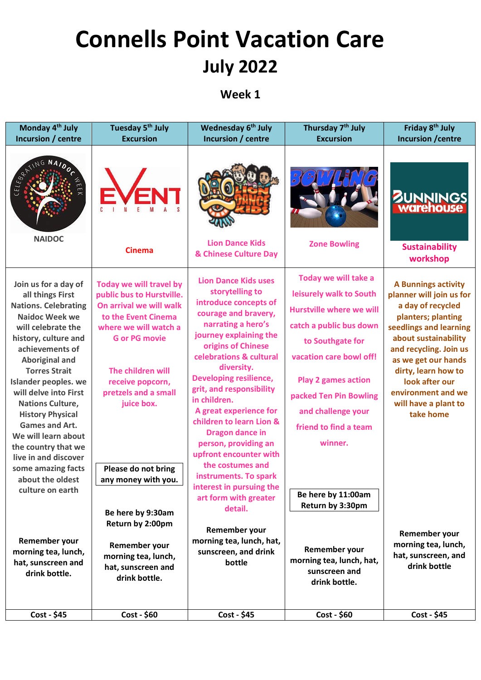## **Connells Point Vacation Care July 2022**

## **Week 1**

| Monday 4 <sup>th</sup> July<br>Incursion / centre                                                                                                                                                                                                                                                                                                                                                                                                                                      | Tuesday 5 <sup>th</sup> July<br><b>Excursion</b>                                                                                                                                                                                                                                     | Wednesday 6 <sup>th</sup> July<br>Incursion / centre                                                                                                                                                                                                                                                                                                                                                                                                                                                                     | Thursday 7 <sup>th</sup> July<br><b>Excursion</b>                                                                                                                                                                                                                                                    | Friday 8 <sup>th</sup> July<br><b>Incursion / centre</b>                                                                                                                                                                                                                                                 |
|----------------------------------------------------------------------------------------------------------------------------------------------------------------------------------------------------------------------------------------------------------------------------------------------------------------------------------------------------------------------------------------------------------------------------------------------------------------------------------------|--------------------------------------------------------------------------------------------------------------------------------------------------------------------------------------------------------------------------------------------------------------------------------------|--------------------------------------------------------------------------------------------------------------------------------------------------------------------------------------------------------------------------------------------------------------------------------------------------------------------------------------------------------------------------------------------------------------------------------------------------------------------------------------------------------------------------|------------------------------------------------------------------------------------------------------------------------------------------------------------------------------------------------------------------------------------------------------------------------------------------------------|----------------------------------------------------------------------------------------------------------------------------------------------------------------------------------------------------------------------------------------------------------------------------------------------------------|
| ELEBRATIN<br><b>NAIDOC</b>                                                                                                                                                                                                                                                                                                                                                                                                                                                             |                                                                                                                                                                                                                                                                                      | <b>Lion Dance Kids</b>                                                                                                                                                                                                                                                                                                                                                                                                                                                                                                   | <b>Zone Bowling</b>                                                                                                                                                                                                                                                                                  | <b>BUNNINGS</b><br><b>Warehouse</b>                                                                                                                                                                                                                                                                      |
|                                                                                                                                                                                                                                                                                                                                                                                                                                                                                        | <b>Cinema</b>                                                                                                                                                                                                                                                                        | & Chinese Culture Day                                                                                                                                                                                                                                                                                                                                                                                                                                                                                                    |                                                                                                                                                                                                                                                                                                      | <b>Sustainability</b><br>workshop                                                                                                                                                                                                                                                                        |
| Join us for a day of<br>all things First<br><b>Nations. Celebrating</b><br><b>Naidoc Week we</b><br>will celebrate the<br>history, culture and<br>achievements of<br><b>Aboriginal and</b><br><b>Torres Strait</b><br>Islander peoples. we<br>will delve into First<br><b>Nations Culture,</b><br><b>History Physical</b><br><b>Games and Art.</b><br>We will learn about<br>the country that we<br>live in and discover<br>some amazing facts<br>about the oldest<br>culture on earth | Today we will travel by<br>public bus to Hurstville.<br>On arrival we will walk<br>to the Event Cinema<br>where we will watch a<br><b>G</b> or PG movie<br>The children will<br>receive popcorn,<br>pretzels and a small<br>juice box.<br>Please do not bring<br>any money with you. | <b>Lion Dance Kids uses</b><br>storytelling to<br>introduce concepts of<br>courage and bravery,<br>narrating a hero's<br>journey explaining the<br>origins of Chinese<br>celebrations & cultural<br>diversity.<br><b>Developing resilience,</b><br>grit, and responsibility<br>in children.<br>A great experience for<br>children to learn Lion &<br>Dragon dance in<br>person, providing an<br>upfront encounter with<br>the costumes and<br>instruments. To spark<br>interest in pursuing the<br>art form with greater | Today we will take a<br>leisurely walk to South<br><b>Hurstville where we will</b><br>catch a public bus down<br>to Southgate for<br>vacation care bowl off!<br><b>Play 2 games action</b><br>packed Ten Pin Bowling<br>and challenge your<br>friend to find a team<br>winner.<br>Be here by 11:00am | <b>A Bunnings activity</b><br>planner will join us for<br>a day of recycled<br>planters; planting<br>seedlings and learning<br>about sustainability<br>and recycling. Join us<br>as we get our hands<br>dirty, learn how to<br>look after our<br>environment and we<br>will have a plant to<br>take home |
|                                                                                                                                                                                                                                                                                                                                                                                                                                                                                        | Be here by 9:30am<br>Return by 2:00pm                                                                                                                                                                                                                                                | detail.                                                                                                                                                                                                                                                                                                                                                                                                                                                                                                                  | Return by 3:30pm                                                                                                                                                                                                                                                                                     |                                                                                                                                                                                                                                                                                                          |
| Remember your<br>morning tea, lunch,<br>hat, sunscreen and<br>drink bottle.                                                                                                                                                                                                                                                                                                                                                                                                            | Remember your<br>morning tea, lunch,<br>hat, sunscreen and<br>drink bottle.                                                                                                                                                                                                          | Remember your<br>morning tea, lunch, hat,<br>sunscreen, and drink<br>bottle                                                                                                                                                                                                                                                                                                                                                                                                                                              | Remember your<br>morning tea, lunch, hat,<br>sunscreen and<br>drink bottle.                                                                                                                                                                                                                          | Remember your<br>morning tea, lunch,<br>hat, sunscreen, and<br>drink bottle                                                                                                                                                                                                                              |
| Cost - \$45                                                                                                                                                                                                                                                                                                                                                                                                                                                                            | Cost - \$60                                                                                                                                                                                                                                                                          | Cost - \$45                                                                                                                                                                                                                                                                                                                                                                                                                                                                                                              | Cost - \$60                                                                                                                                                                                                                                                                                          | Cost - \$45                                                                                                                                                                                                                                                                                              |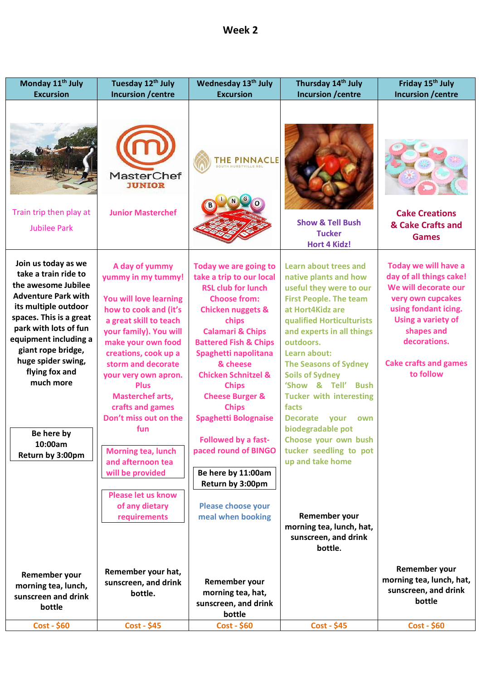| Week 2 |  |
|--------|--|
|--------|--|

| Monday 11 <sup>th</sup> July                                                                                                                                                                                                                                                                                                  | Tuesday 12 <sup>th</sup> July                                                                                                                                                                                                                                                                                                                                                                                                                                              | Wednesday 13th July                                                                                                                                                                                                                                                                                                                                                                                                                                                                                                      | Thursday 14th July                                                                                                                                                                                                                                                                                                                                                                                                                                                                                                                                                      | Friday 15th July                                                                                                                                                                                                      |
|-------------------------------------------------------------------------------------------------------------------------------------------------------------------------------------------------------------------------------------------------------------------------------------------------------------------------------|----------------------------------------------------------------------------------------------------------------------------------------------------------------------------------------------------------------------------------------------------------------------------------------------------------------------------------------------------------------------------------------------------------------------------------------------------------------------------|--------------------------------------------------------------------------------------------------------------------------------------------------------------------------------------------------------------------------------------------------------------------------------------------------------------------------------------------------------------------------------------------------------------------------------------------------------------------------------------------------------------------------|-------------------------------------------------------------------------------------------------------------------------------------------------------------------------------------------------------------------------------------------------------------------------------------------------------------------------------------------------------------------------------------------------------------------------------------------------------------------------------------------------------------------------------------------------------------------------|-----------------------------------------------------------------------------------------------------------------------------------------------------------------------------------------------------------------------|
| <b>Excursion</b>                                                                                                                                                                                                                                                                                                              | <b>Incursion / centre</b>                                                                                                                                                                                                                                                                                                                                                                                                                                                  | <b>Excursion</b>                                                                                                                                                                                                                                                                                                                                                                                                                                                                                                         | <b>Incursion / centre</b>                                                                                                                                                                                                                                                                                                                                                                                                                                                                                                                                               | Incursion / centre                                                                                                                                                                                                    |
| Train trip then play at<br><b>Jubilee Park</b>                                                                                                                                                                                                                                                                                | <b>MasterChef</b><br><b>IUNIOR</b><br><b>Junior Masterchef</b>                                                                                                                                                                                                                                                                                                                                                                                                             | <b>THE PINNACLE</b>                                                                                                                                                                                                                                                                                                                                                                                                                                                                                                      | <b>Show &amp; Tell Bush</b><br><b>Tucker</b><br><b>Hort 4 Kidz!</b>                                                                                                                                                                                                                                                                                                                                                                                                                                                                                                     | <b>Cake Creations</b><br>& Cake Crafts and<br><b>Games</b>                                                                                                                                                            |
| Join us today as we<br>take a train ride to<br>the awesome Jubilee<br><b>Adventure Park with</b><br>its multiple outdoor<br>spaces. This is a great<br>park with lots of fun<br>equipment including a<br>giant rope bridge,<br>huge spider swing,<br>flying fox and<br>much more<br>Be here by<br>10:00am<br>Return by 3:00pm | A day of yummy<br>yummy in my tummy!<br>You will love learning<br>how to cook and (it's<br>a great skill to teach<br>your family). You will<br>make your own food<br>creations, cook up a<br>storm and decorate<br>your very own apron.<br><b>Plus</b><br><b>Masterchef arts,</b><br>crafts and games<br>Don't miss out on the<br>fun<br><b>Morning tea, lunch</b><br>and afternoon tea<br>will be provided<br><b>Please let us know</b><br>of any dietary<br>requirements | Today we are going to<br>take a trip to our local<br><b>RSL club for lunch</b><br><b>Choose from:</b><br><b>Chicken nuggets &amp;</b><br>chips<br><b>Calamari &amp; Chips</b><br><b>Battered Fish &amp; Chips</b><br>Spaghetti napolitana<br>& cheese<br><b>Chicken Schnitzel &amp;</b><br><b>Chips</b><br><b>Cheese Burger &amp;</b><br><b>Chips</b><br><b>Spaghetti Bolognaise</b><br>Followed by a fast-<br>paced round of BINGO<br>Be here by 11:00am<br>Return by 3:00pm<br>Please choose your<br>meal when booking | Learn about trees and<br>native plants and how<br>useful they were to our<br><b>First People. The team</b><br>at Hort4Kidz are<br>qualified Horticulturists<br>and experts in all things<br>outdoors.<br>Learn about:<br><b>The Seasons of Sydney</b><br><b>Soils of Sydney</b><br>'Show & Tell'<br><b>Bush</b><br><b>Tucker with interesting</b><br>facts<br><b>Decorate</b><br>your<br>own<br>biodegradable pot<br>Choose your own bush<br>tucker seedling to pot<br>up and take home<br>Remember your<br>morning tea, lunch, hat,<br>sunscreen, and drink<br>bottle. | Today we will have a<br>day of all things cake!<br>We will decorate our<br>very own cupcakes<br>using fondant icing.<br>Using a variety of<br>shapes and<br>decorations.<br><b>Cake crafts and games</b><br>to follow |
| Remember your<br>morning tea, lunch,<br>sunscreen and drink<br>bottle                                                                                                                                                                                                                                                         | Remember your hat,<br>sunscreen, and drink<br>bottle.                                                                                                                                                                                                                                                                                                                                                                                                                      | Remember your<br>morning tea, hat,<br>sunscreen, and drink<br>bottle                                                                                                                                                                                                                                                                                                                                                                                                                                                     |                                                                                                                                                                                                                                                                                                                                                                                                                                                                                                                                                                         | Remember your<br>morning tea, lunch, hat,<br>sunscreen, and drink<br>bottle                                                                                                                                           |
| $Cost - $60$                                                                                                                                                                                                                                                                                                                  | $Cost - $45$                                                                                                                                                                                                                                                                                                                                                                                                                                                               | <b>Cost - \$60</b>                                                                                                                                                                                                                                                                                                                                                                                                                                                                                                       | $Cost - $45$                                                                                                                                                                                                                                                                                                                                                                                                                                                                                                                                                            | $Cost - $60$                                                                                                                                                                                                          |